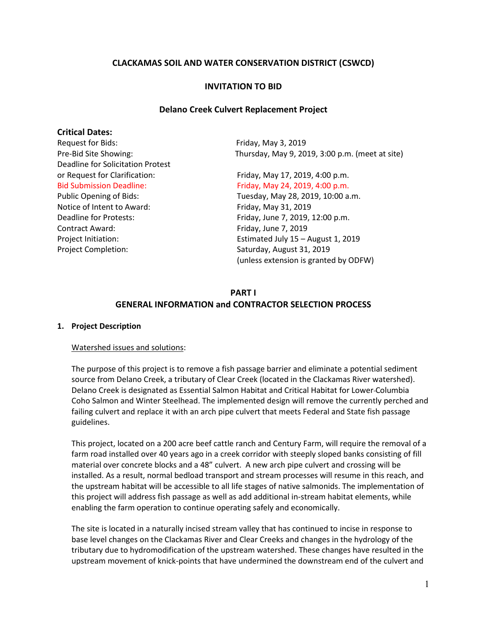# **CLACKAMAS SOIL AND WATER CONSERVATION DISTRICT (CSWCD)**

#### **INVITATION TO BID**

#### **Delano Creek Culvert Replacement Project**

#### **Critical Dates:**

Request for Bids: Friday, May 3, 2019 Deadline for Solicitation Protest or Request for Clarification: Friday, May 17, 2019, 4:00 p.m. Notice of Intent to Award: Friday, May 31, 2019 Contract Award: Entertainment Contract Award: Friday, June 7, 2019 Project Completion: Saturday, August 31, 2019

Pre-Bid Site Showing: Thursday, May 9, 2019, 3:00 p.m. (meet at site)

Bid Submission Deadline: Friday, May 24, 2019, 4:00 p.m. Public Opening of Bids: Tuesday, May 28, 2019, 10:00 a.m. Deadline for Protests: Friday, June 7, 2019, 12:00 p.m. Project Initiation: Estimated July 15 – August 1, 2019 (unless extension is granted by ODFW)

# **PART I GENERAL INFORMATION and CONTRACTOR SELECTION PROCESS**

#### **1. Project Description**

#### Watershed issues and solutions:

The purpose of this project is to remove a fish passage barrier and eliminate a potential sediment source from Delano Creek, a tributary of Clear Creek (located in the Clackamas River watershed). Delano Creek is designated as Essential Salmon Habitat and Critical Habitat for Lower Columbia Coho Salmon and Winter Steelhead. The implemented design will remove the currently perched and failing culvert and replace it with an arch pipe culvert that meets Federal and State fish passage guidelines.

This project, located on a 200 acre beef cattle ranch and Century Farm, will require the removal of a farm road installed over 40 years ago in a creek corridor with steeply sloped banks consisting of fill material over concrete blocks and a 48" culvert. A new arch pipe culvert and crossing will be installed. As a result, normal bedload transport and stream processes will resume in this reach, and the upstream habitat will be accessible to all life stages of native salmonids. The implementation of this project will address fish passage as well as add additional in-stream habitat elements, while enabling the farm operation to continue operating safely and economically.

The site is located in a naturally incised stream valley that has continued to incise in response to base level changes on the Clackamas River and Clear Creeks and changes in the hydrology of the tributary due to hydromodification of the upstream watershed. These changes have resulted in the upstream movement of knick-points that have undermined the downstream end of the culvert and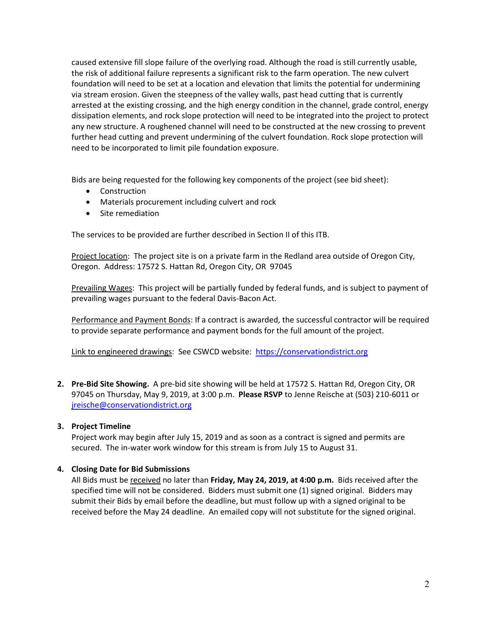caused extensive fill slope failure of the overlying road. Although the road is still currently usable, the risk of additional failure represents a significant risk to the farm operation. The new culvert foundation will need to be set at a location and elevation that limits the potential for undermining via stream erosion. Given the steepness of the valley walls, past head cutting that is currently arrested at the existing crossing, and the high energy condition in the channel, grade control, energy dissipation elements, and rock slope protection will need to be integrated into the project to protect any new structure. A roughened channel will need to be constructed at the new crossing to prevent further head cutting and prevent undermining of the culvert foundation. Rock slope protection will need to be incorporated to limit pile foundation exposure.

Bids are being requested for the following key components of the project (see bid sheet):

- Construction
- Materials procurement including culvert and rock
- Site remediation

The services to be provided are further described in Section II of this ITB.

Project location: The project site is on a private farm in the Redland area outside of Oregon City, Oregon. Address: 17572 S. Hattan Rd, Oregon City, OR 97045

Prevailing Wages: This project will be partially funded by federal funds, and is subject to payment of prevailing wages pursuant to the federal Davis-Bacon Act.

Performance and Payment Bonds: If a contract is awarded, the successful contractor will be required to provide separate performance and payment bonds for the full amount of the project.

Link to engineered drawings: See CSWCD website: [https://conservationdistrict.org](https://conservationdistrict.org/)

**2. Pre-Bid Site Showing.** A pre-bid site showing will be held at 17572 S. Hattan Rd, Oregon City, OR 97045 on Thursday, May 9, 2019, at 3:00 p.m. **Please RSVP** to Jenne Reische at (503) 210-6011 or [jreische@conservationdistrict.org](mailto:jreische@conservationdistrict.org)

# **3. Project Timeline**

Project work may begin after July 15, 2019 and as soon as a contract is signed and permits are secured. The in-water work window for this stream is from July 15 to August 31.

# **4. Closing Date for Bid Submissions**

All Bids must be received no later than **Friday, May 24, 2019, at 4:00 p.m.** Bids received after the specified time will not be considered. Bidders must submit one (1) signed original. Bidders may submit their Bids by email before the deadline, but must follow up with a signed original to be received before the May 24 deadline. An emailed copy will not substitute for the signed original.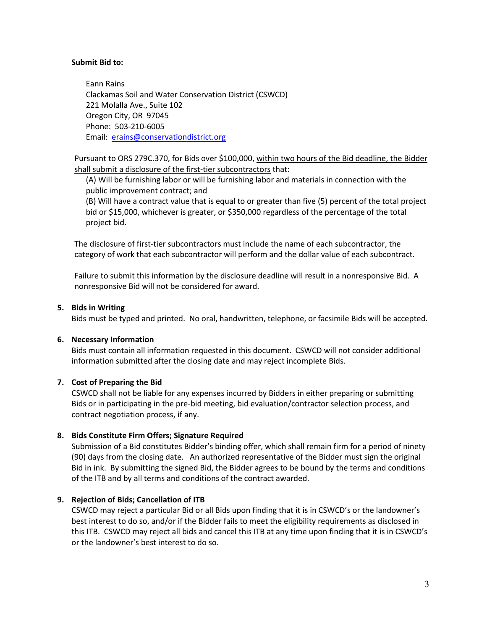#### **Submit Bid to:**

Eann Rains Clackamas Soil and Water Conservation District (CSWCD) 221 Molalla Ave., Suite 102 Oregon City, OR 97045 Phone: 503-210-6005 Email: [erains@conservationdistrict.org](mailto:erains@conservationdistrict.org)

Pursuant to ORS 279C.370, for Bids over \$100,000, within two hours of the Bid deadline, the Bidder shall submit a disclosure of the first-tier subcontractors that:

(A) Will be furnishing labor or will be furnishing labor and materials in connection with the public improvement contract; and

(B) Will have a contract value that is equal to or greater than five (5) percent of the total project bid or \$15,000, whichever is greater, or \$350,000 regardless of the percentage of the total project bid.

The disclosure of first-tier subcontractors must include the name of each subcontractor, the category of work that each subcontractor will perform and the dollar value of each subcontract.

Failure to submit this information by the disclosure deadline will result in a nonresponsive Bid. A nonresponsive Bid will not be considered for award.

### **5. Bids in Writing**

Bids must be typed and printed. No oral, handwritten, telephone, or facsimile Bids will be accepted.

### **6. Necessary Information**

Bids must contain all information requested in this document. CSWCD will not consider additional information submitted after the closing date and may reject incomplete Bids.

### **7. Cost of Preparing the Bid**

CSWCD shall not be liable for any expenses incurred by Bidders in either preparing or submitting Bids or in participating in the pre-bid meeting, bid evaluation/contractor selection process, and contract negotiation process, if any.

### **8. Bids Constitute Firm Offers; Signature Required**

Submission of a Bid constitutes Bidder's binding offer, which shall remain firm for a period of ninety (90) days from the closing date. An authorized representative of the Bidder must sign the original Bid in ink. By submitting the signed Bid, the Bidder agrees to be bound by the terms and conditions of the ITB and by all terms and conditions of the contract awarded.

### **9. Rejection of Bids; Cancellation of ITB**

CSWCD may reject a particular Bid or all Bids upon finding that it is in CSWCD's or the landowner's best interest to do so, and/or if the Bidder fails to meet the eligibility requirements as disclosed in this ITB. CSWCD may reject all bids and cancel this ITB at any time upon finding that it is in CSWCD's or the landowner's best interest to do so.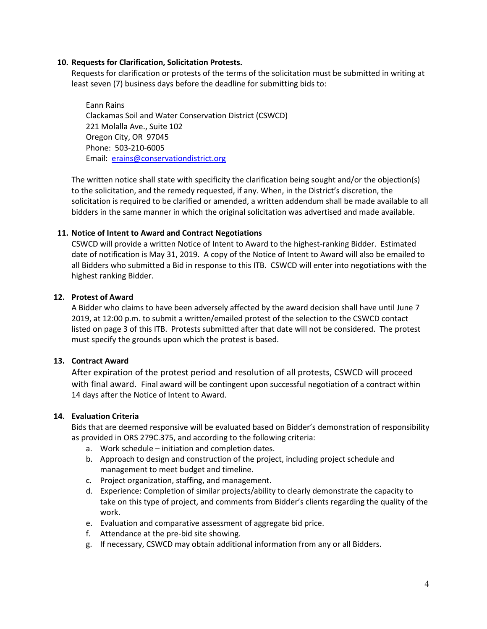#### **10. Requests for Clarification, Solicitation Protests.**

Requests for clarification or protests of the terms of the solicitation must be submitted in writing at least seven (7) business days before the deadline for submitting bids to:

Eann Rains Clackamas Soil and Water Conservation District (CSWCD) 221 Molalla Ave., Suite 102 Oregon City, OR 97045 Phone: 503-210-6005 Email: [erains@conservationdistrict.org](mailto:erains@conservationdistrict.org)

The written notice shall state with specificity the clarification being sought and/or the objection(s) to the solicitation, and the remedy requested, if any. When, in the District's discretion, the solicitation is required to be clarified or amended, a written addendum shall be made available to all bidders in the same manner in which the original solicitation was advertised and made available.

### **11. Notice of Intent to Award and Contract Negotiations**

CSWCD will provide a written Notice of Intent to Award to the highest-ranking Bidder. Estimated date of notification is May 31, 2019. A copy of the Notice of Intent to Award will also be emailed to all Bidders who submitted a Bid in response to this ITB. CSWCD will enter into negotiations with the highest ranking Bidder.

#### **12. Protest of Award**

A Bidder who claims to have been adversely affected by the award decision shall have until June 7 2019, at 12:00 p.m. to submit a written/emailed protest of the selection to the CSWCD contact listed on page 3 of this ITB. Protests submitted after that date will not be considered. The protest must specify the grounds upon which the protest is based.

### **13. Contract Award**

After expiration of the protest period and resolution of all protests, CSWCD will proceed with final award. Final award will be contingent upon successful negotiation of a contract within 14 days after the Notice of Intent to Award.

### **14. Evaluation Criteria**

Bids that are deemed responsive will be evaluated based on Bidder's demonstration of responsibility as provided in ORS 279C.375, and according to the following criteria:

- a. Work schedule initiation and completion dates.
- b. Approach to design and construction of the project, including project schedule and management to meet budget and timeline.
- c. Project organization, staffing, and management.
- d. Experience: Completion of similar projects/ability to clearly demonstrate the capacity to take on this type of project, and comments from Bidder's clients regarding the quality of the work.
- e. Evaluation and comparative assessment of aggregate bid price.
- f. Attendance at the pre-bid site showing.
- g. If necessary, CSWCD may obtain additional information from any or all Bidders.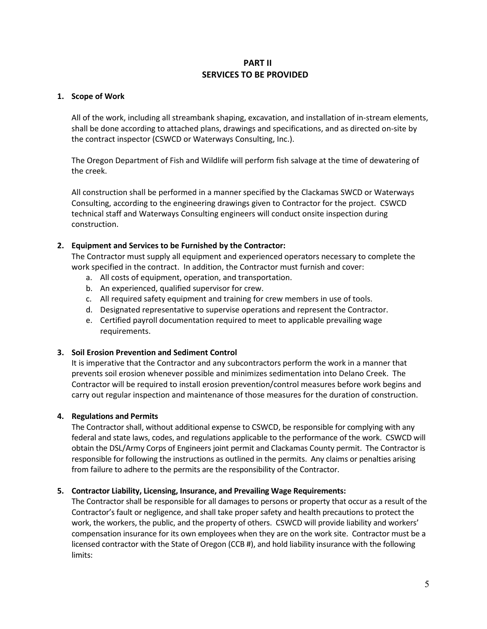# **PART II SERVICES TO BE PROVIDED**

### **1. Scope of Work**

All of the work, including all streambank shaping, excavation, and installation of in-stream elements, shall be done according to attached plans, drawings and specifications, and as directed on-site by the contract inspector (CSWCD or Waterways Consulting, Inc.).

The Oregon Department of Fish and Wildlife will perform fish salvage at the time of dewatering of the creek.

All construction shall be performed in a manner specified by the Clackamas SWCD or Waterways Consulting, according to the engineering drawings given to Contractor for the project. CSWCD technical staff and Waterways Consulting engineers will conduct onsite inspection during construction.

# **2. Equipment and Services to be Furnished by the Contractor:**

The Contractor must supply all equipment and experienced operators necessary to complete the work specified in the contract. In addition, the Contractor must furnish and cover:

- a. All costs of equipment, operation, and transportation.
- b. An experienced, qualified supervisor for crew.
- c. All required safety equipment and training for crew members in use of tools.
- d. Designated representative to supervise operations and represent the Contractor.
- e. Certified payroll documentation required to meet to applicable prevailing wage requirements.

### **3. Soil Erosion Prevention and Sediment Control**

It is imperative that the Contractor and any subcontractors perform the work in a manner that prevents soil erosion whenever possible and minimizes sedimentation into Delano Creek. The Contractor will be required to install erosion prevention/control measures before work begins and carry out regular inspection and maintenance of those measures for the duration of construction.

# **4. Regulations and Permits**

The Contractor shall, without additional expense to CSWCD, be responsible for complying with any federal and state laws, codes, and regulations applicable to the performance of the work. CSWCD will obtain the DSL/Army Corps of Engineers joint permit and Clackamas County permit. The Contractor is responsible for following the instructions as outlined in the permits. Any claims or penalties arising from failure to adhere to the permits are the responsibility of the Contractor.

### **5. Contractor Liability, Licensing, Insurance, and Prevailing Wage Requirements:**

The Contractor shall be responsible for all damages to persons or property that occur as a result of the Contractor's fault or negligence, and shall take proper safety and health precautions to protect the work, the workers, the public, and the property of others. CSWCD will provide liability and workers' compensation insurance for its own employees when they are on the work site. Contractor must be a licensed contractor with the State of Oregon (CCB #), and hold liability insurance with the following limits: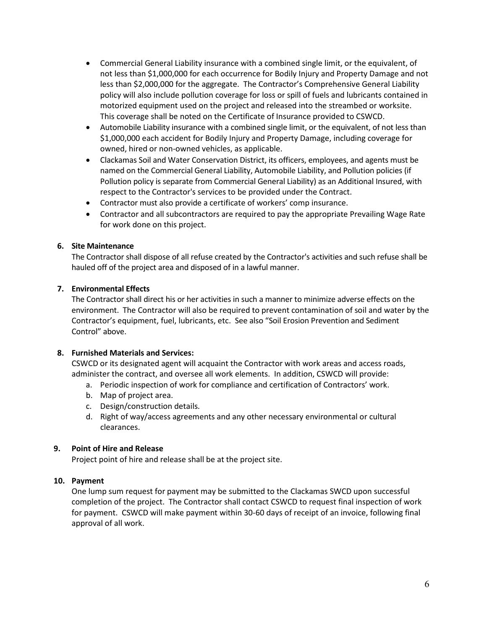- Commercial General Liability insurance with a combined single limit, or the equivalent, of not less than \$1,000,000 for each occurrence for Bodily Injury and Property Damage and not less than \$2,000,000 for the aggregate. The Contractor's Comprehensive General Liability policy will also include pollution coverage for loss or spill of fuels and lubricants contained in motorized equipment used on the project and released into the streambed or worksite. This coverage shall be noted on the Certificate of Insurance provided to CSWCD.
- Automobile Liability insurance with a combined single limit, or the equivalent, of not less than \$1,000,000 each accident for Bodily Injury and Property Damage, including coverage for owned, hired or non-owned vehicles, as applicable.
- Clackamas Soil and Water Conservation District, its officers, employees, and agents must be named on the Commercial General Liability, Automobile Liability, and Pollution policies (if Pollution policy is separate from Commercial General Liability) as an Additional Insured, with respect to the Contractor's services to be provided under the Contract.
- Contractor must also provide a certificate of workers' comp insurance.
- Contractor and all subcontractors are required to pay the appropriate Prevailing Wage Rate for work done on this project.

# **6. Site Maintenance**

The Contractor shall dispose of all refuse created by the Contractor's activities and such refuse shall be hauled off of the project area and disposed of in a lawful manner.

# **7. Environmental Effects**

The Contractor shall direct his or her activities in such a manner to minimize adverse effects on the environment. The Contractor will also be required to prevent contamination of soil and water by the Contractor's equipment, fuel, lubricants, etc. See also "Soil Erosion Prevention and Sediment Control" above.

### **8. Furnished Materials and Services:**

CSWCD or its designated agent will acquaint the Contractor with work areas and access roads, administer the contract, and oversee all work elements. In addition, CSWCD will provide:

- a. Periodic inspection of work for compliance and certification of Contractors' work.
- b. Map of project area.
- c. Design/construction details.
- d. Right of way/access agreements and any other necessary environmental or cultural clearances.

### **9. Point of Hire and Release**

Project point of hire and release shall be at the project site.

### **10. Payment**

One lump sum request for payment may be submitted to the Clackamas SWCD upon successful completion of the project. The Contractor shall contact CSWCD to request final inspection of work for payment. CSWCD will make payment within 30-60 days of receipt of an invoice, following final approval of all work.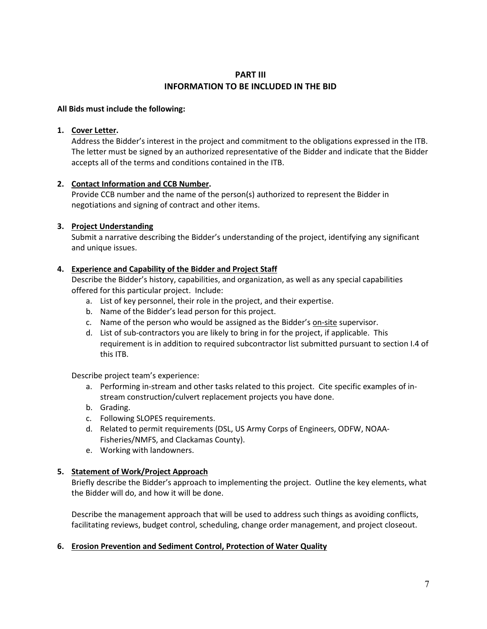# **PART III INFORMATION TO BE INCLUDED IN THE BID**

### **All Bids must include the following:**

### **1. Cover Letter.**

Address the Bidder's interest in the project and commitment to the obligations expressed in the ITB. The letter must be signed by an authorized representative of the Bidder and indicate that the Bidder accepts all of the terms and conditions contained in the ITB.

# **2. Contact Information and CCB Number.**

Provide CCB number and the name of the person(s) authorized to represent the Bidder in negotiations and signing of contract and other items.

# **3. Project Understanding**

Submit a narrative describing the Bidder's understanding of the project, identifying any significant and unique issues.

# **4. Experience and Capability of the Bidder and Project Staff**

Describe the Bidder's history, capabilities, and organization, as well as any special capabilities offered for this particular project. Include:

- a. List of key personnel, their role in the project, and their expertise.
- b. Name of the Bidder's lead person for this project.
- c. Name of the person who would be assigned as the Bidder's on-site supervisor.
- d. List of sub-contractors you are likely to bring in for the project, if applicable. This requirement is in addition to required subcontractor list submitted pursuant to section I.4 of this ITB.

Describe project team's experience:

- a. Performing in-stream and other tasks related to this project. Cite specific examples of instream construction/culvert replacement projects you have done.
- b. Grading.
- c. Following SLOPES requirements.
- d. Related to permit requirements (DSL, US Army Corps of Engineers, ODFW, NOAA-Fisheries/NMFS, and Clackamas County).
- e. Working with landowners.

# **5. Statement of Work/Project Approach**

Briefly describe the Bidder's approach to implementing the project. Outline the key elements, what the Bidder will do, and how it will be done.

Describe the management approach that will be used to address such things as avoiding conflicts, facilitating reviews, budget control, scheduling, change order management, and project closeout.

### **6. Erosion Prevention and Sediment Control, Protection of Water Quality**